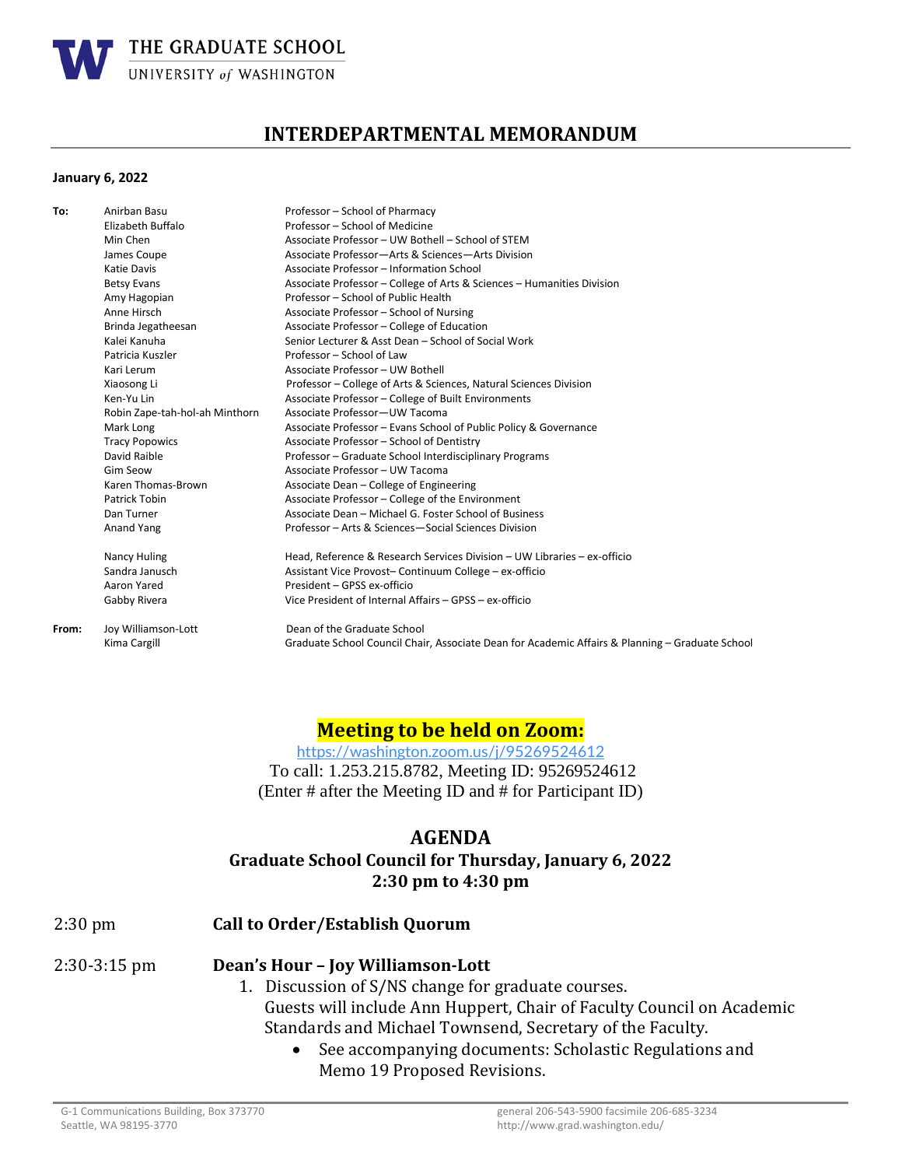

## **INTERDEPARTMENTAL MEMORANDUM**

### **January 6, 2022**

| To:   | Anirban Basu                   | Professor - School of Pharmacy                                                                  |
|-------|--------------------------------|-------------------------------------------------------------------------------------------------|
|       | Elizabeth Buffalo              | Professor - School of Medicine                                                                  |
|       | Min Chen                       | Associate Professor - UW Bothell - School of STEM                                               |
|       | James Coupe                    | Associate Professor-Arts & Sciences-Arts Division                                               |
|       | <b>Katie Davis</b>             | Associate Professor - Information School                                                        |
|       | <b>Betsy Evans</b>             | Associate Professor - College of Arts & Sciences - Humanities Division                          |
|       | Amy Hagopian                   | Professor - School of Public Health                                                             |
|       | Anne Hirsch                    | Associate Professor - School of Nursing                                                         |
|       | Brinda Jegatheesan             | Associate Professor - College of Education                                                      |
|       | Kalei Kanuha                   | Senior Lecturer & Asst Dean - School of Social Work                                             |
|       | Patricia Kuszler               | Professor - School of Law                                                                       |
|       | Kari Lerum                     | Associate Professor - UW Bothell                                                                |
|       | Xiaosong Li                    | Professor – College of Arts & Sciences, Natural Sciences Division                               |
|       | Ken-Yu Lin                     | Associate Professor - College of Built Environments                                             |
|       | Robin Zape-tah-hol-ah Minthorn | Associate Professor-UW Tacoma                                                                   |
|       | Mark Long                      | Associate Professor - Evans School of Public Policy & Governance                                |
|       | <b>Tracy Popowics</b>          | Associate Professor - School of Dentistry                                                       |
|       | David Raible                   | Professor - Graduate School Interdisciplinary Programs                                          |
|       | <b>Gim Seow</b>                | Associate Professor - UW Tacoma                                                                 |
|       | Karen Thomas-Brown             | Associate Dean - College of Engineering                                                         |
|       | Patrick Tobin                  | Associate Professor - College of the Environment                                                |
|       | Dan Turner                     | Associate Dean - Michael G. Foster School of Business                                           |
|       | Anand Yang                     | Professor - Arts & Sciences-Social Sciences Division                                            |
|       | Nancy Huling                   | Head, Reference & Research Services Division - UW Libraries - ex-officio                        |
|       | Sandra Janusch                 | Assistant Vice Provost- Continuum College - ex-officio                                          |
|       | Aaron Yared                    | President - GPSS ex-officio                                                                     |
|       | Gabby Rivera                   | Vice President of Internal Affairs - GPSS - ex-officio                                          |
| From: | Joy Williamson-Lott            | Dean of the Graduate School                                                                     |
|       | Kima Cargill                   | Graduate School Council Chair, Associate Dean for Academic Affairs & Planning - Graduate School |

# **Meeting to be held on Zoom:**

<https://washington.zoom.us/j/95269524612> To call: 1.253.215.8782, Meeting ID: 95269524612 (Enter # after the Meeting ID and # for Participant ID)

# **AGENDA**

## **Graduate School Council for Thursday, January 6, 2022 2:30 pm to 4:30 pm**

2:30 pm **Call to Order/Establish Quorum**

#### 2:30-3:15 pm **Dean's Hour – Joy Williamson-Lott**

- 1. Discussion of S/NS change for graduate courses. Guests will include Ann Huppert, Chair of Faculty Council on Academic Standards and Michael Townsend, Secretary of the Faculty.<br>See accompanying documents: Scholastic Regulation
	- See accompanying documents: Scholastic Regulations and Memo 19 Proposed Revisions.